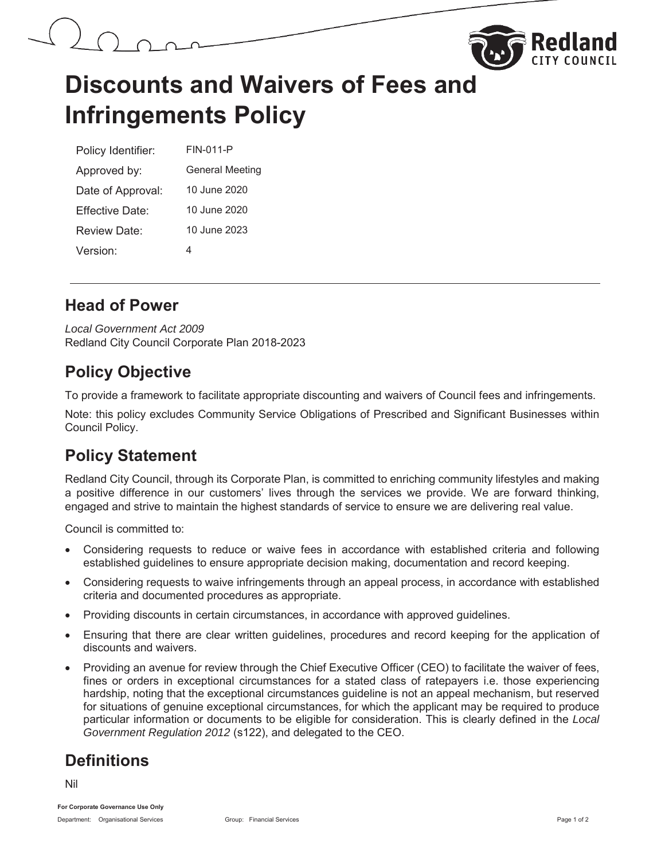



## **Discounts and Waivers of Fees and Infringements Policy**

| Policy Identifier: | FIN-011-P              |  |
|--------------------|------------------------|--|
| Approved by:       | <b>General Meeting</b> |  |
| Date of Approval:  | 10 June 2020           |  |
| Fffective Date:    | 10 June 2020           |  |
| Review Date:       | 10 June 2023           |  |
| Version:           | 4                      |  |

#### **Head of Power**

*Local Government Act 2009* Redland City Council Corporate Plan 2018-2023

## **Policy Objective**

To provide a framework to facilitate appropriate discounting and waivers of Council fees and infringements.

Note: this policy excludes Community Service Obligations of Prescribed and Significant Businesses within Council Policy.

## **Policy Statement**

Redland City Council, through its Corporate Plan, is committed to enriching community lifestyles and making a positive difference in our customers' lives through the services we provide. We are forward thinking, engaged and strive to maintain the highest standards of service to ensure we are delivering real value.

Council is committed to:

- Considering requests to reduce or waive fees in accordance with established criteria and following established guidelines to ensure appropriate decision making, documentation and record keeping.
- Considering requests to waive infringements through an appeal process, in accordance with established criteria and documented procedures as appropriate.
- Providing discounts in certain circumstances, in accordance with approved guidelines.
- x Ensuring that there are clear written guidelines, procedures and record keeping for the application of discounts and waivers.
- Providing an avenue for review through the Chief Executive Officer (CEO) to facilitate the waiver of fees, fines or orders in exceptional circumstances for a stated class of ratepayers i.e. those experiencing hardship, noting that the exceptional circumstances guideline is not an appeal mechanism, but reserved for situations of genuine exceptional circumstances, for which the applicant may be required to produce particular information or documents to be eligible for consideration. This is clearly defined in the *Local Government Regulation 2012* (s122), and delegated to the CEO.

## **Definitions**

Nil